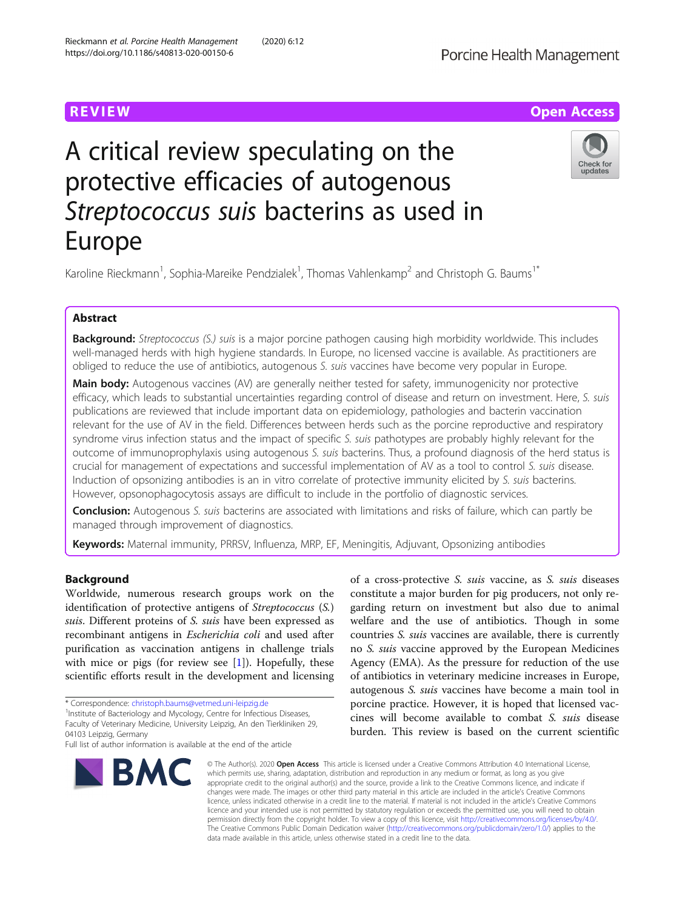# **REVIEW ACCESS AND LOCAL CONTRACT CONTRACT OF ACCESS**

# A critical review speculating on the protective efficacies of autogenous Streptococcus suis bacterins as used in Europe



Karoline Rieckmann<sup>1</sup>, Sophia-Mareike Pendzialek<sup>1</sup>, Thomas Vahlenkamp<sup>2</sup> and Christoph G. Baums<sup>1\*</sup>

# Abstract

Background: Streptococcus (S.) suis is a major porcine pathogen causing high morbidity worldwide. This includes well-managed herds with high hygiene standards. In Europe, no licensed vaccine is available. As practitioners are obliged to reduce the use of antibiotics, autogenous S. suis vaccines have become very popular in Europe.

Main body: Autogenous vaccines (AV) are generally neither tested for safety, immunogenicity nor protective efficacy, which leads to substantial uncertainties regarding control of disease and return on investment. Here, S. suis publications are reviewed that include important data on epidemiology, pathologies and bacterin vaccination relevant for the use of AV in the field. Differences between herds such as the porcine reproductive and respiratory syndrome virus infection status and the impact of specific S. suis pathotypes are probably highly relevant for the outcome of immunoprophylaxis using autogenous S. suis bacterins. Thus, a profound diagnosis of the herd status is crucial for management of expectations and successful implementation of AV as a tool to control S. suis disease. Induction of opsonizing antibodies is an in vitro correlate of protective immunity elicited by S. suis bacterins. However, opsonophagocytosis assays are difficult to include in the portfolio of diagnostic services.

**Conclusion:** Autogenous S. suis bacterins are associated with limitations and risks of failure, which can partly be managed through improvement of diagnostics.

Keywords: Maternal immunity, PRRSV, Influenza, MRP, EF, Meningitis, Adjuvant, Opsonizing antibodies

# Background

Worldwide, numerous research groups work on the identification of protective antigens of Streptococcus (S.) suis. Different proteins of S. suis have been expressed as recombinant antigens in Escherichia coli and used after purification as vaccination antigens in challenge trials with mice or pigs (for review see  $[1]$  $[1]$  $[1]$ ). Hopefully, these scientific efforts result in the development and licensing

\* Correspondence: [christoph.baums@vetmed.uni-leipzig.de](mailto:christoph.baums@vetmed.uni-leipzig.de) <sup>1</sup>

<sup>1</sup>Institute of Bacteriology and Mycology, Centre for Infectious Diseases, Faculty of Veterinary Medicine, University Leipzig, An den Tierkliniken 29, 04103 Leipzig, Germany

Full list of author information is available at the end of the article



of a cross-protective S. suis vaccine, as S. suis diseases constitute a major burden for pig producers, not only regarding return on investment but also due to animal welfare and the use of antibiotics. Though in some countries S. suis vaccines are available, there is currently no S. suis vaccine approved by the European Medicines Agency (EMA). As the pressure for reduction of the use of antibiotics in veterinary medicine increases in Europe, autogenous S. suis vaccines have become a main tool in porcine practice. However, it is hoped that licensed vaccines will become available to combat S. suis disease burden. This review is based on the current scientific

© The Author(s), 2020 **Open Access** This article is licensed under a Creative Commons Attribution 4.0 International License, which permits use, sharing, adaptation, distribution and reproduction in any medium or format, as long as you give appropriate credit to the original author(s) and the source, provide a link to the Creative Commons licence, and indicate if changes were made. The images or other third party material in this article are included in the article's Creative Commons licence, unless indicated otherwise in a credit line to the material. If material is not included in the article's Creative Commons licence and your intended use is not permitted by statutory regulation or exceeds the permitted use, you will need to obtain permission directly from the copyright holder. To view a copy of this licence, visit [http://creativecommons.org/licenses/by/4.0/.](http://creativecommons.org/licenses/by/4.0/) The Creative Commons Public Domain Dedication waiver [\(http://creativecommons.org/publicdomain/zero/1.0/](http://creativecommons.org/publicdomain/zero/1.0/)) applies to the data made available in this article, unless otherwise stated in a credit line to the data.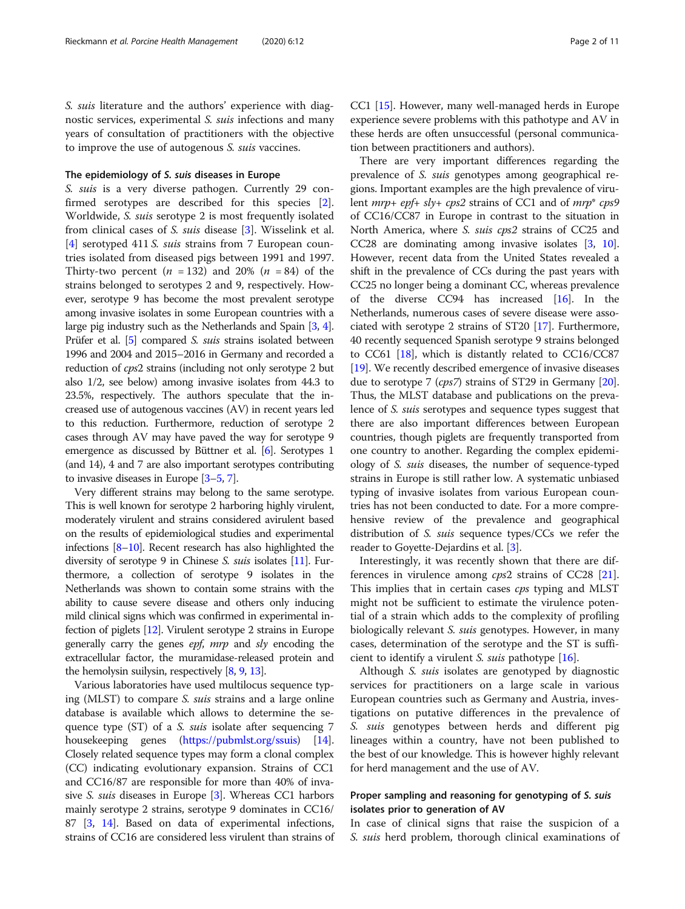S. suis literature and the authors' experience with diagnostic services, experimental S. suis infections and many years of consultation of practitioners with the objective to improve the use of autogenous S. suis vaccines.

#### The epidemiology of S. suis diseases in Europe

S. suis is a very diverse pathogen. Currently 29 confirmed serotypes are described for this species [\[2](#page-8-0)]. Worldwide, S. suis serotype 2 is most frequently isolated from clinical cases of S. suis disease [[3\]](#page-8-0). Wisselink et al. [[4\]](#page-8-0) serotyped 411 S. suis strains from 7 European countries isolated from diseased pigs between 1991 and 1997. Thirty-two percent  $(n = 132)$  and 20%  $(n = 84)$  of the strains belonged to serotypes 2 and 9, respectively. However, serotype 9 has become the most prevalent serotype among invasive isolates in some European countries with a large pig industry such as the Netherlands and Spain [\[3,](#page-8-0) [4](#page-8-0)]. Prüfer et al. [[5](#page-8-0)] compared S. suis strains isolated between 1996 and 2004 and 2015–2016 in Germany and recorded a reduction of cps2 strains (including not only serotype 2 but also 1/2, see below) among invasive isolates from 44.3 to 23.5%, respectively. The authors speculate that the increased use of autogenous vaccines (AV) in recent years led to this reduction. Furthermore, reduction of serotype 2 cases through AV may have paved the way for serotype 9 emergence as discussed by Büttner et al. [\[6\]](#page-8-0). Serotypes 1 (and 14), 4 and 7 are also important serotypes contributing to invasive diseases in Europe [\[3](#page-8-0)–[5](#page-8-0), [7](#page-8-0)].

Very different strains may belong to the same serotype. This is well known for serotype 2 harboring highly virulent, moderately virulent and strains considered avirulent based on the results of epidemiological studies and experimental infections [\[8](#page-8-0)–[10\]](#page-8-0). Recent research has also highlighted the diversity of serotype 9 in Chinese *S. suis* isolates [[11](#page-8-0)]. Furthermore, a collection of serotype 9 isolates in the Netherlands was shown to contain some strains with the ability to cause severe disease and others only inducing mild clinical signs which was confirmed in experimental infection of piglets [[12](#page-8-0)]. Virulent serotype 2 strains in Europe generally carry the genes  $epf$ , mrp and  $sly$  encoding the extracellular factor, the muramidase-released protein and the hemolysin suilysin, respectively [[8](#page-8-0), [9,](#page-8-0) [13\]](#page-8-0).

Various laboratories have used multilocus sequence typing (MLST) to compare S. suis strains and a large online database is available which allows to determine the sequence type (ST) of a *S. suis* isolate after sequencing 7 housekeeping genes (<https://pubmlst.org/ssuis>) [[14](#page-8-0)]. Closely related sequence types may form a clonal complex (CC) indicating evolutionary expansion. Strains of CC1 and CC16/87 are responsible for more than 40% of invasive S. suis diseases in Europe [\[3\]](#page-8-0). Whereas CC1 harbors mainly serotype 2 strains, serotype 9 dominates in CC16/ 87 [\[3](#page-8-0), [14](#page-8-0)]. Based on data of experimental infections, strains of CC16 are considered less virulent than strains of CC1 [\[15\]](#page-9-0). However, many well-managed herds in Europe experience severe problems with this pathotype and AV in these herds are often unsuccessful (personal communication between practitioners and authors).

There are very important differences regarding the prevalence of S. suis genotypes among geographical regions. Important examples are the high prevalence of virulent  $mrp + epf + sly + cps2$  strains of CC1 and of  $mrp^*$  cps9 of CC16/CC87 in Europe in contrast to the situation in North America, where S. suis cps2 strains of CC25 and CC28 are dominating among invasive isolates [\[3,](#page-8-0) [10](#page-8-0)]. However, recent data from the United States revealed a shift in the prevalence of CCs during the past years with CC25 no longer being a dominant CC, whereas prevalence of the diverse CC94 has increased [\[16\]](#page-9-0). In the Netherlands, numerous cases of severe disease were associated with serotype 2 strains of ST20 [\[17\]](#page-9-0). Furthermore, 40 recently sequenced Spanish serotype 9 strains belonged to CC61 [[18\]](#page-9-0), which is distantly related to CC16/CC87 [[19](#page-9-0)]. We recently described emergence of invasive diseases due to serotype 7 (cps7) strains of ST29 in Germany [[20](#page-9-0)]. Thus, the MLST database and publications on the prevalence of S. suis serotypes and sequence types suggest that there are also important differences between European countries, though piglets are frequently transported from one country to another. Regarding the complex epidemiology of S. suis diseases, the number of sequence-typed strains in Europe is still rather low. A systematic unbiased typing of invasive isolates from various European countries has not been conducted to date. For a more comprehensive review of the prevalence and geographical distribution of S. suis sequence types/CCs we refer the reader to Goyette-Dejardins et al. [[3](#page-8-0)].

Interestingly, it was recently shown that there are differences in virulence among *cps*2 strains of CC28 [\[21](#page-9-0)]. This implies that in certain cases cps typing and MLST might not be sufficient to estimate the virulence potential of a strain which adds to the complexity of profiling biologically relevant S. suis genotypes. However, in many cases, determination of the serotype and the ST is sufficient to identify a virulent S. suis pathotype [[16\]](#page-9-0).

Although S. suis isolates are genotyped by diagnostic services for practitioners on a large scale in various European countries such as Germany and Austria, investigations on putative differences in the prevalence of S. suis genotypes between herds and different pig lineages within a country, have not been published to the best of our knowledge. This is however highly relevant for herd management and the use of AV.

# Proper sampling and reasoning for genotyping of S. suis isolates prior to generation of AV

In case of clinical signs that raise the suspicion of a S. suis herd problem, thorough clinical examinations of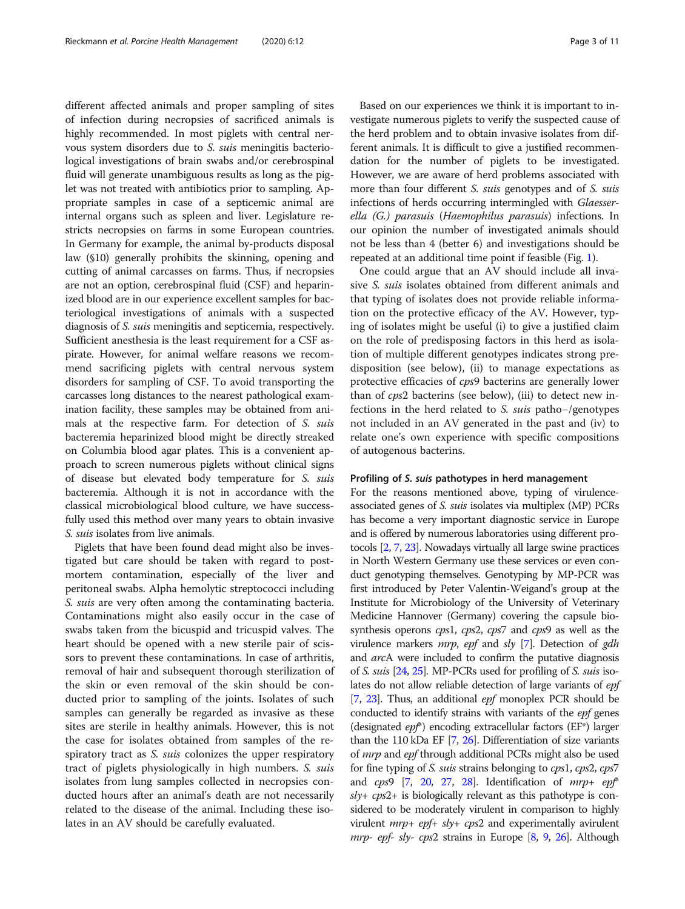different affected animals and proper sampling of sites of infection during necropsies of sacrificed animals is highly recommended. In most piglets with central nervous system disorders due to S. suis meningitis bacteriological investigations of brain swabs and/or cerebrospinal fluid will generate unambiguous results as long as the piglet was not treated with antibiotics prior to sampling. Appropriate samples in case of a septicemic animal are internal organs such as spleen and liver. Legislature restricts necropsies on farms in some European countries. In Germany for example, the animal by-products disposal law (§10) generally prohibits the skinning, opening and cutting of animal carcasses on farms. Thus, if necropsies are not an option, cerebrospinal fluid (CSF) and heparinized blood are in our experience excellent samples for bacteriological investigations of animals with a suspected diagnosis of S. suis meningitis and septicemia, respectively. Sufficient anesthesia is the least requirement for a CSF aspirate. However, for animal welfare reasons we recommend sacrificing piglets with central nervous system disorders for sampling of CSF. To avoid transporting the carcasses long distances to the nearest pathological examination facility, these samples may be obtained from animals at the respective farm. For detection of S. suis bacteremia heparinized blood might be directly streaked on Columbia blood agar plates. This is a convenient approach to screen numerous piglets without clinical signs of disease but elevated body temperature for S. suis bacteremia. Although it is not in accordance with the classical microbiological blood culture, we have successfully used this method over many years to obtain invasive S. suis isolates from live animals.

Piglets that have been found dead might also be investigated but care should be taken with regard to postmortem contamination, especially of the liver and peritoneal swabs. Alpha hemolytic streptococci including S. suis are very often among the contaminating bacteria. Contaminations might also easily occur in the case of swabs taken from the bicuspid and tricuspid valves. The heart should be opened with a new sterile pair of scissors to prevent these contaminations. In case of arthritis, removal of hair and subsequent thorough sterilization of the skin or even removal of the skin should be conducted prior to sampling of the joints. Isolates of such samples can generally be regarded as invasive as these sites are sterile in healthy animals. However, this is not the case for isolates obtained from samples of the respiratory tract as *S. suis* colonizes the upper respiratory tract of piglets physiologically in high numbers. S. suis isolates from lung samples collected in necropsies conducted hours after an animal's death are not necessarily related to the disease of the animal. Including these isolates in an AV should be carefully evaluated.

Based on our experiences we think it is important to investigate numerous piglets to verify the suspected cause of the herd problem and to obtain invasive isolates from different animals. It is difficult to give a justified recommendation for the number of piglets to be investigated. However, we are aware of herd problems associated with more than four different *S. suis* genotypes and of *S. suis* infections of herds occurring intermingled with Glaesserella (G.) parasuis (Haemophilus parasuis) infections. In our opinion the number of investigated animals should not be less than 4 (better 6) and investigations should be repeated at an additional time point if feasible (Fig. [1\)](#page-3-0).

One could argue that an AV should include all invasive S. suis isolates obtained from different animals and that typing of isolates does not provide reliable information on the protective efficacy of the AV. However, typing of isolates might be useful (i) to give a justified claim on the role of predisposing factors in this herd as isolation of multiple different genotypes indicates strong predisposition (see below), (ii) to manage expectations as protective efficacies of cps9 bacterins are generally lower than of cps2 bacterins (see below), (iii) to detect new infections in the herd related to S. suis patho−/genotypes not included in an AV generated in the past and (iv) to relate one's own experience with specific compositions of autogenous bacterins.

#### Profiling of S. suis pathotypes in herd management

For the reasons mentioned above, typing of virulenceassociated genes of S. suis isolates via multiplex (MP) PCRs has become a very important diagnostic service in Europe and is offered by numerous laboratories using different protocols [\[2](#page-8-0), [7,](#page-8-0) [23\]](#page-9-0). Nowadays virtually all large swine practices in North Western Germany use these services or even conduct genotyping themselves. Genotyping by MP-PCR was first introduced by Peter Valentin-Weigand's group at the Institute for Microbiology of the University of Veterinary Medicine Hannover (Germany) covering the capsule biosynthesis operons *cps1*, *cps2*, *cps7* and *cps9* as well as the virulence markers mrp, epf and sly [[7](#page-8-0)]. Detection of gdh and arcA were included to confirm the putative diagnosis of S. suis [\[24,](#page-9-0) [25\]](#page-9-0). MP-PCRs used for profiling of S. suis isolates do not allow reliable detection of large variants of epf [[7](#page-8-0), [23\]](#page-9-0). Thus, an additional *epf* monoplex PCR should be conducted to identify strains with variants of the *epf* genes (designated  $epf$ <sup>\*</sup>) encoding extracellular factors ( $EF$ <sup>\*</sup>) larger than the 110 kDa EF [\[7](#page-8-0), [26\]](#page-9-0). Differentiation of size variants of *mrp* and *epf* through additional PCRs might also be used for fine typing of *S. suis* strains belonging to *cps1*, *cps2*, *cps7* and  $cps9$  [\[7,](#page-8-0) [20,](#page-9-0) [27,](#page-9-0) [28](#page-9-0)]. Identification of  $mrp+ ep<sup>*</sup>$  $sly + cps2 +$  is biologically relevant as this pathotype is considered to be moderately virulent in comparison to highly virulent mrp+ epf+ sly+ cps2 and experimentally avirulent mrp- epf- sly- cps2 strains in Europe [[8](#page-8-0), [9](#page-8-0), [26](#page-9-0)]. Although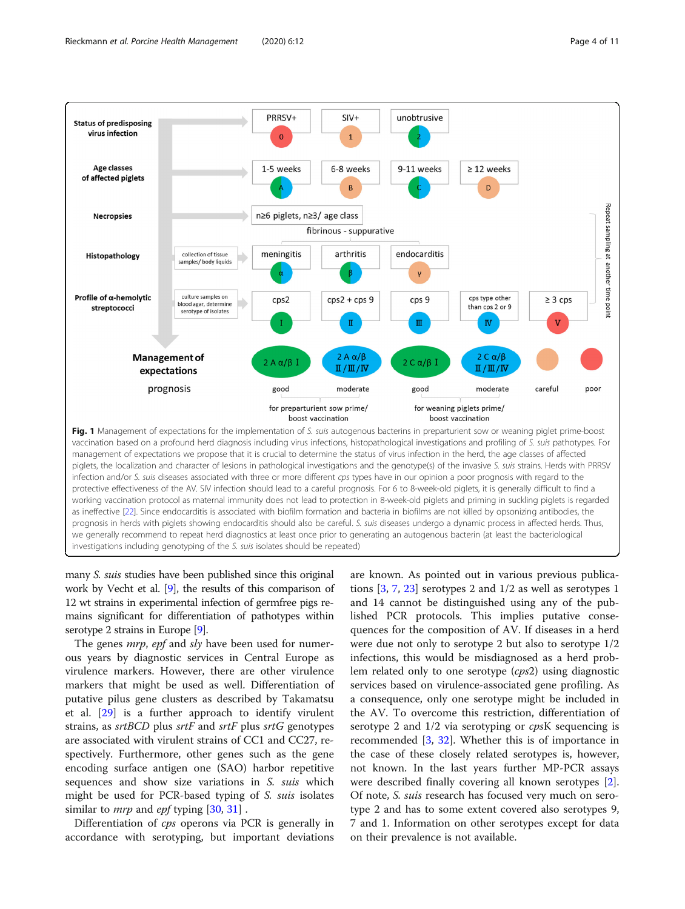<span id="page-3-0"></span>

many S. suis studies have been published since this original work by Vecht et al. [[9](#page-8-0)], the results of this comparison of 12 wt strains in experimental infection of germfree pigs remains significant for differentiation of pathotypes within serotype 2 strains in Europe [\[9](#page-8-0)].

The genes *mrp*, epf and sly have been used for numerous years by diagnostic services in Central Europe as virulence markers. However, there are other virulence markers that might be used as well. Differentiation of putative pilus gene clusters as described by Takamatsu et al. [\[29](#page-9-0)] is a further approach to identify virulent strains, as srtBCD plus srtF and srtF plus srtG genotypes are associated with virulent strains of CC1 and CC27, respectively. Furthermore, other genes such as the gene encoding surface antigen one (SAO) harbor repetitive sequences and show size variations in S. suis which might be used for PCR-based typing of *S. suis* isolates similar to *mrp* and *epf* typing [[30](#page-9-0), [31](#page-9-0)].

Differentiation of cps operons via PCR is generally in accordance with serotyping, but important deviations

are known. As pointed out in various previous publications [[3,](#page-8-0) [7,](#page-8-0) [23](#page-9-0)] serotypes 2 and 1/2 as well as serotypes 1 and 14 cannot be distinguished using any of the published PCR protocols. This implies putative consequences for the composition of AV. If diseases in a herd were due not only to serotype 2 but also to serotype 1/2 infections, this would be misdiagnosed as a herd problem related only to one serotype (cps2) using diagnostic services based on virulence-associated gene profiling. As a consequence, only one serotype might be included in the AV. To overcome this restriction, differentiation of serotype 2 and  $1/2$  via serotyping or cpsK sequencing is recommended [\[3](#page-8-0), [32\]](#page-9-0). Whether this is of importance in the case of these closely related serotypes is, however, not known. In the last years further MP-PCR assays were described finally covering all known serotypes [\[2](#page-8-0)]. Of note, S. suis research has focused very much on serotype 2 and has to some extent covered also serotypes 9, 7 and 1. Information on other serotypes except for data on their prevalence is not available.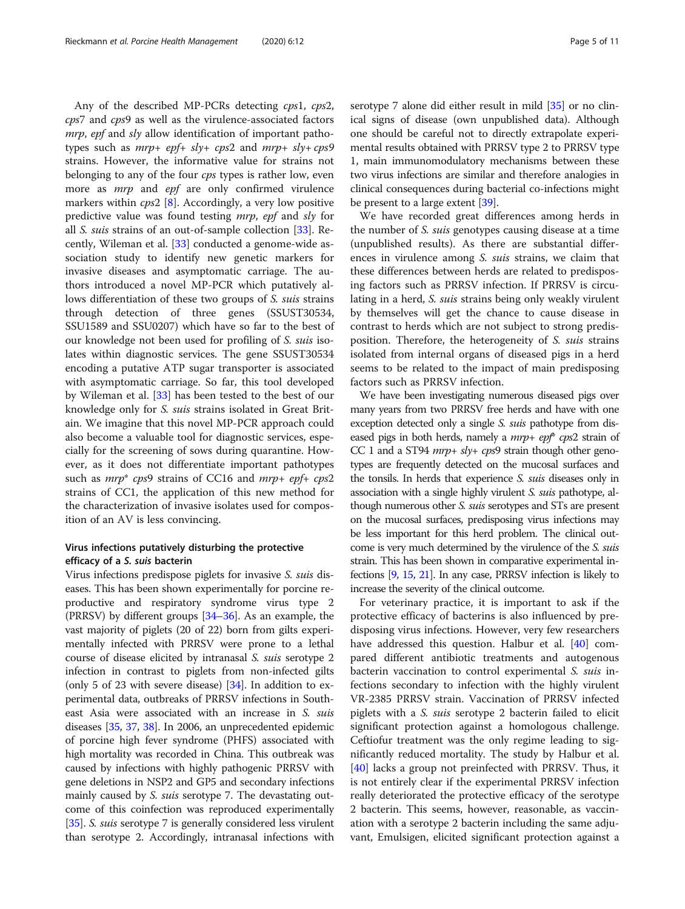Any of the described MP-PCRs detecting cps1, cps2, cps7 and cps9 as well as the virulence-associated factors mrp, epf and sly allow identification of important pathotypes such as  $mrp + epf + sly + cps2$  and  $mrp + sly + cps9$ strains. However, the informative value for strains not belonging to any of the four cps types is rather low, even more as *mrp* and *epf* are only confirmed virulence markers within  $cps2$  [[8\]](#page-8-0). Accordingly, a very low positive predictive value was found testing mrp, epf and sly for all S. suis strains of an out-of-sample collection [\[33](#page-9-0)]. Recently, Wileman et al. [\[33](#page-9-0)] conducted a genome-wide association study to identify new genetic markers for invasive diseases and asymptomatic carriage. The authors introduced a novel MP-PCR which putatively allows differentiation of these two groups of S. suis strains through detection of three genes (SSUST30534, SSU1589 and SSU0207) which have so far to the best of our knowledge not been used for profiling of S. suis isolates within diagnostic services. The gene SSUST30534 encoding a putative ATP sugar transporter is associated with asymptomatic carriage. So far, this tool developed by Wileman et al. [[33\]](#page-9-0) has been tested to the best of our knowledge only for S. suis strains isolated in Great Britain. We imagine that this novel MP-PCR approach could also become a valuable tool for diagnostic services, especially for the screening of sows during quarantine. However, as it does not differentiate important pathotypes such as  $mrp^*$  cps9 strains of CC16 and  $mrp + epf + cps2$ strains of CC1, the application of this new method for the characterization of invasive isolates used for composition of an AV is less convincing.

# Virus infections putatively disturbing the protective efficacy of a S. suis bacterin

Virus infections predispose piglets for invasive S. suis diseases. This has been shown experimentally for porcine reproductive and respiratory syndrome virus type 2 (PRRSV) by different groups [[34](#page-9-0)–[36\]](#page-9-0). As an example, the vast majority of piglets (20 of 22) born from gilts experimentally infected with PRRSV were prone to a lethal course of disease elicited by intranasal S. suis serotype 2 infection in contrast to piglets from non-infected gilts (only 5 of 23 with severe disease)  $[34]$  $[34]$  $[34]$ . In addition to experimental data, outbreaks of PRRSV infections in Southeast Asia were associated with an increase in S. suis diseases [[35](#page-9-0), [37](#page-9-0), [38](#page-9-0)]. In 2006, an unprecedented epidemic of porcine high fever syndrome (PHFS) associated with high mortality was recorded in China. This outbreak was caused by infections with highly pathogenic PRRSV with gene deletions in NSP2 and GP5 and secondary infections mainly caused by *S. suis* serotype 7. The devastating outcome of this coinfection was reproduced experimentally [[35](#page-9-0)]. S. *suis* serotype 7 is generally considered less virulent than serotype 2. Accordingly, intranasal infections with serotype 7 alone did either result in mild [[35](#page-9-0)] or no clinical signs of disease (own unpublished data). Although one should be careful not to directly extrapolate experimental results obtained with PRRSV type 2 to PRRSV type 1, main immunomodulatory mechanisms between these two virus infections are similar and therefore analogies in clinical consequences during bacterial co-infections might be present to a large extent [\[39\]](#page-9-0).

We have recorded great differences among herds in the number of S. suis genotypes causing disease at a time (unpublished results). As there are substantial differences in virulence among S. suis strains, we claim that these differences between herds are related to predisposing factors such as PRRSV infection. If PRRSV is circulating in a herd, S. suis strains being only weakly virulent by themselves will get the chance to cause disease in contrast to herds which are not subject to strong predisposition. Therefore, the heterogeneity of S. suis strains isolated from internal organs of diseased pigs in a herd seems to be related to the impact of main predisposing factors such as PRRSV infection.

We have been investigating numerous diseased pigs over many years from two PRRSV free herds and have with one exception detected only a single *S. suis* pathotype from diseased pigs in both herds, namely a  $mrp + epf*$  cps2 strain of CC 1 and a ST94  $mrp + sly + cps9$  strain though other genotypes are frequently detected on the mucosal surfaces and the tonsils. In herds that experience S. suis diseases only in association with a single highly virulent *S. suis* pathotype, although numerous other *S. suis* serotypes and STs are present on the mucosal surfaces, predisposing virus infections may be less important for this herd problem. The clinical outcome is very much determined by the virulence of the S. suis strain. This has been shown in comparative experimental infections [\[9,](#page-8-0) [15](#page-9-0), [21\]](#page-9-0). In any case, PRRSV infection is likely to increase the severity of the clinical outcome.

For veterinary practice, it is important to ask if the protective efficacy of bacterins is also influenced by predisposing virus infections. However, very few researchers have addressed this question. Halbur et al. [\[40](#page-9-0)] compared different antibiotic treatments and autogenous bacterin vaccination to control experimental S. suis infections secondary to infection with the highly virulent VR-2385 PRRSV strain. Vaccination of PRRSV infected piglets with a S. suis serotype 2 bacterin failed to elicit significant protection against a homologous challenge. Ceftiofur treatment was the only regime leading to significantly reduced mortality. The study by Halbur et al. [[40\]](#page-9-0) lacks a group not preinfected with PRRSV. Thus, it is not entirely clear if the experimental PRRSV infection really deteriorated the protective efficacy of the serotype 2 bacterin. This seems, however, reasonable, as vaccination with a serotype 2 bacterin including the same adjuvant, Emulsigen, elicited significant protection against a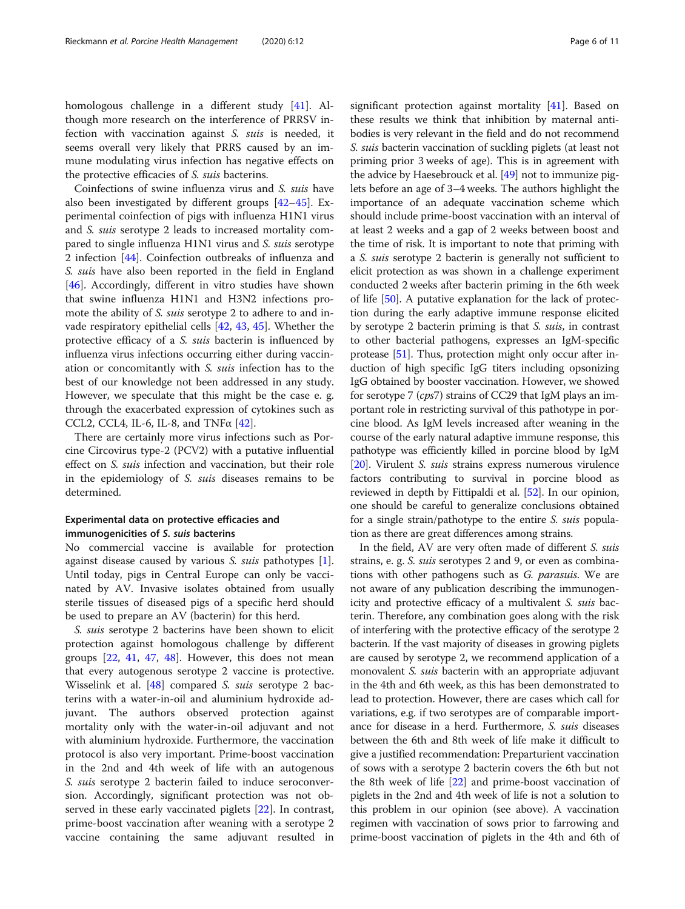homologous challenge in a different study [[41\]](#page-9-0). Although more research on the interference of PRRSV infection with vaccination against S. suis is needed, it seems overall very likely that PRRS caused by an immune modulating virus infection has negative effects on the protective efficacies of S. suis bacterins.

Coinfections of swine influenza virus and S. suis have also been investigated by different groups [\[42](#page-9-0)–[45\]](#page-9-0). Experimental coinfection of pigs with influenza H1N1 virus and S. suis serotype 2 leads to increased mortality compared to single influenza H1N1 virus and S. suis serotype 2 infection [\[44](#page-9-0)]. Coinfection outbreaks of influenza and S. suis have also been reported in the field in England [[46\]](#page-9-0). Accordingly, different in vitro studies have shown that swine influenza H1N1 and H3N2 infections promote the ability of S. suis serotype 2 to adhere to and invade respiratory epithelial cells [[42,](#page-9-0) [43,](#page-9-0) [45\]](#page-9-0). Whether the protective efficacy of a S. suis bacterin is influenced by influenza virus infections occurring either during vaccination or concomitantly with S. suis infection has to the best of our knowledge not been addressed in any study. However, we speculate that this might be the case e. g. through the exacerbated expression of cytokines such as CCL2, CCL4, IL-6, IL-8, and TNF $\alpha$  [[42](#page-9-0)].

There are certainly more virus infections such as Porcine Circovirus type-2 (PCV2) with a putative influential effect on S. suis infection and vaccination, but their role in the epidemiology of S. suis diseases remains to be determined.

## Experimental data on protective efficacies and immunogenicities of S. suis bacterins

No commercial vaccine is available for protection against disease caused by various S. suis pathotypes [\[1](#page-8-0)]. Until today, pigs in Central Europe can only be vaccinated by AV. Invasive isolates obtained from usually sterile tissues of diseased pigs of a specific herd should be used to prepare an AV (bacterin) for this herd.

S. suis serotype 2 bacterins have been shown to elicit protection against homologous challenge by different groups [[22](#page-9-0), [41](#page-9-0), [47](#page-9-0), [48\]](#page-9-0). However, this does not mean that every autogenous serotype 2 vaccine is protective. Wisselink et al. [\[48](#page-9-0)] compared S. suis serotype 2 bacterins with a water-in-oil and aluminium hydroxide adjuvant. The authors observed protection against mortality only with the water-in-oil adjuvant and not with aluminium hydroxide. Furthermore, the vaccination protocol is also very important. Prime-boost vaccination in the 2nd and 4th week of life with an autogenous S. suis serotype 2 bacterin failed to induce seroconversion. Accordingly, significant protection was not observed in these early vaccinated piglets [\[22](#page-9-0)]. In contrast, prime-boost vaccination after weaning with a serotype 2 vaccine containing the same adjuvant resulted in significant protection against mortality [[41\]](#page-9-0). Based on these results we think that inhibition by maternal antibodies is very relevant in the field and do not recommend S. suis bacterin vaccination of suckling piglets (at least not priming prior 3 weeks of age). This is in agreement with the advice by Haesebrouck et al. [\[49\]](#page-9-0) not to immunize piglets before an age of 3–4 weeks. The authors highlight the importance of an adequate vaccination scheme which should include prime-boost vaccination with an interval of at least 2 weeks and a gap of 2 weeks between boost and the time of risk. It is important to note that priming with a S. suis serotype 2 bacterin is generally not sufficient to elicit protection as was shown in a challenge experiment conducted 2 weeks after bacterin priming in the 6th week of life [\[50](#page-9-0)]. A putative explanation for the lack of protection during the early adaptive immune response elicited by serotype 2 bacterin priming is that S. suis, in contrast to other bacterial pathogens, expresses an IgM-specific protease [[51](#page-9-0)]. Thus, protection might only occur after induction of high specific IgG titers including opsonizing IgG obtained by booster vaccination. However, we showed for serotype 7 (cps7) strains of CC29 that IgM plays an important role in restricting survival of this pathotype in porcine blood. As IgM levels increased after weaning in the course of the early natural adaptive immune response, this pathotype was efficiently killed in porcine blood by IgM [[20](#page-9-0)]. Virulent *S. suis* strains express numerous virulence factors contributing to survival in porcine blood as reviewed in depth by Fittipaldi et al. [\[52](#page-9-0)]. In our opinion, one should be careful to generalize conclusions obtained for a single strain/pathotype to the entire S. suis population as there are great differences among strains.

In the field, AV are very often made of different S. suis strains, e. g. S. suis serotypes 2 and 9, or even as combinations with other pathogens such as G. parasuis. We are not aware of any publication describing the immunogenicity and protective efficacy of a multivalent S. suis bacterin. Therefore, any combination goes along with the risk of interfering with the protective efficacy of the serotype 2 bacterin. If the vast majority of diseases in growing piglets are caused by serotype 2, we recommend application of a monovalent S. suis bacterin with an appropriate adjuvant in the 4th and 6th week, as this has been demonstrated to lead to protection. However, there are cases which call for variations, e.g. if two serotypes are of comparable importance for disease in a herd. Furthermore, S. suis diseases between the 6th and 8th week of life make it difficult to give a justified recommendation: Preparturient vaccination of sows with a serotype 2 bacterin covers the 6th but not the 8th week of life [\[22\]](#page-9-0) and prime-boost vaccination of piglets in the 2nd and 4th week of life is not a solution to this problem in our opinion (see above). A vaccination regimen with vaccination of sows prior to farrowing and prime-boost vaccination of piglets in the 4th and 6th of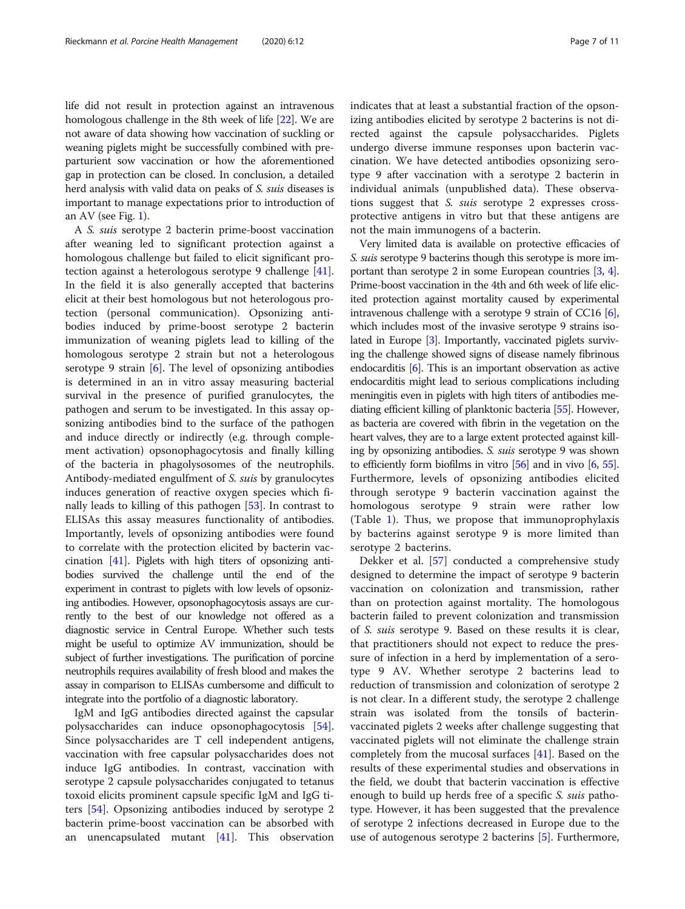life did not result in protection against an intravenous homologous challenge in the 8th week of life [\[22](#page-9-0)]. We are not aware of data showing how vaccination of suckling or weaning piglets might be successfully combined with preparturient sow vaccination or how the aforementioned gap in protection can be closed. In conclusion, a detailed herd analysis with valid data on peaks of S. suis diseases is important to manage expectations prior to introduction of an AV (see Fig. [1\)](#page-3-0).

A S. suis serotype 2 bacterin prime-boost vaccination after weaning led to significant protection against a homologous challenge but failed to elicit significant protection against a heterologous serotype 9 challenge [\[41](#page-9-0)]. In the field it is also generally accepted that bacterins elicit at their best homologous but not heterologous protection (personal communication). Opsonizing antibodies induced by prime-boost serotype 2 bacterin immunization of weaning piglets lead to killing of the homologous serotype 2 strain but not a heterologous serotype 9 strain [\[6](#page-8-0)]. The level of opsonizing antibodies is determined in an in vitro assay measuring bacterial survival in the presence of purified granulocytes, the pathogen and serum to be investigated. In this assay opsonizing antibodies bind to the surface of the pathogen and induce directly or indirectly (e.g. through complement activation) opsonophagocytosis and finally killing of the bacteria in phagolysosomes of the neutrophils. Antibody-mediated engulfment of S. suis by granulocytes induces generation of reactive oxygen species which finally leads to killing of this pathogen [[53\]](#page-9-0). In contrast to ELISAs this assay measures functionality of antibodies. Importantly, levels of opsonizing antibodies were found to correlate with the protection elicited by bacterin vaccination [[41\]](#page-9-0). Piglets with high titers of opsonizing antibodies survived the challenge until the end of the experiment in contrast to piglets with low levels of opsonizing antibodies. However, opsonophagocytosis assays are currently to the best of our knowledge not offered as a diagnostic service in Central Europe. Whether such tests might be useful to optimize AV immunization, should be subject of further investigations. The purification of porcine neutrophils requires availability of fresh blood and makes the assay in comparison to ELISAs cumbersome and difficult to integrate into the portfolio of a diagnostic laboratory.

IgM and IgG antibodies directed against the capsular polysaccharides can induce opsonophagocytosis [\[54](#page-9-0)]. Since polysaccharides are T cell independent antigens, vaccination with free capsular polysaccharides does not induce IgG antibodies. In contrast, vaccination with serotype 2 capsule polysaccharides conjugated to tetanus toxoid elicits prominent capsule specific IgM and IgG titers [\[54](#page-9-0)]. Opsonizing antibodies induced by serotype 2 bacterin prime-boost vaccination can be absorbed with an unencapsulated mutant [\[41\]](#page-9-0). This observation indicates that at least a substantial fraction of the opsonizing antibodies elicited by serotype 2 bacterins is not directed against the capsule polysaccharides. Piglets undergo diverse immune responses upon bacterin vaccination. We have detected antibodies opsonizing serotype 9 after vaccination with a serotype 2 bacterin in individual animals (unpublished data). These observations suggest that S. suis serotype 2 expresses crossprotective antigens in vitro but that these antigens are not the main immunogens of a bacterin.

Very limited data is available on protective efficacies of S. suis serotype 9 bacterins though this serotype is more important than serotype 2 in some European countries [\[3,](#page-8-0) [4](#page-8-0)]. Prime-boost vaccination in the 4th and 6th week of life elicited protection against mortality caused by experimental intravenous challenge with a serotype 9 strain of CC16 [[6](#page-8-0)], which includes most of the invasive serotype 9 strains isolated in Europe [\[3\]](#page-8-0). Importantly, vaccinated piglets surviving the challenge showed signs of disease namely fibrinous endocarditis [[6](#page-8-0)]. This is an important observation as active endocarditis might lead to serious complications including meningitis even in piglets with high titers of antibodies mediating efficient killing of planktonic bacteria [\[55\]](#page-9-0). However, as bacteria are covered with fibrin in the vegetation on the heart valves, they are to a large extent protected against killing by opsonizing antibodies. S. suis serotype 9 was shown to efficiently form biofilms in vitro [\[56\]](#page-9-0) and in vivo [\[6,](#page-8-0) [55](#page-9-0)]. Furthermore, levels of opsonizing antibodies elicited through serotype 9 bacterin vaccination against the homologous serotype 9 strain were rather low (Table [1](#page-7-0)). Thus, we propose that immunoprophylaxis by bacterins against serotype 9 is more limited than serotype 2 bacterins.

Dekker et al. [\[57](#page-10-0)] conducted a comprehensive study designed to determine the impact of serotype 9 bacterin vaccination on colonization and transmission, rather than on protection against mortality. The homologous bacterin failed to prevent colonization and transmission of S. suis serotype 9. Based on these results it is clear, that practitioners should not expect to reduce the pressure of infection in a herd by implementation of a serotype 9 AV. Whether serotype 2 bacterins lead to reduction of transmission and colonization of serotype 2 is not clear. In a different study, the serotype 2 challenge strain was isolated from the tonsils of bacterinvaccinated piglets 2 weeks after challenge suggesting that vaccinated piglets will not eliminate the challenge strain completely from the mucosal surfaces [\[41\]](#page-9-0). Based on the results of these experimental studies and observations in the field, we doubt that bacterin vaccination is effective enough to build up herds free of a specific *S. suis* pathotype. However, it has been suggested that the prevalence of serotype 2 infections decreased in Europe due to the use of autogenous serotype 2 bacterins [[5\]](#page-8-0). Furthermore,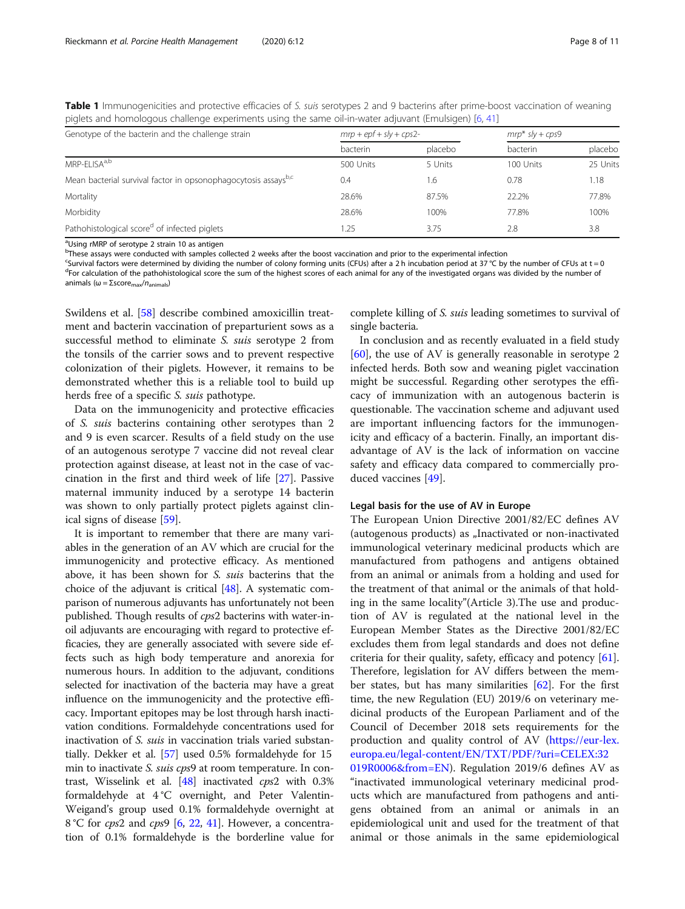<span id="page-7-0"></span>Table 1 Immunogenicities and protective efficacies of S. suis serotypes 2 and 9 bacterins after prime-boost vaccination of weaning piglets and homologous challenge experiments using the same oil-in-water adjuvant (Emulsigen) [[6,](#page-8-0) [41\]](#page-9-0)

| Genotype of the bacterin and the challenge strain                          | $mrp + epf + s/v + cps2$ - |         | $mrp*$ sly + cps9 |          |
|----------------------------------------------------------------------------|----------------------------|---------|-------------------|----------|
|                                                                            | bacterin                   | placebo | bacterin          | placebo  |
| MRP-FI ISA <sup>a,b</sup>                                                  | 500 Units                  | 5 Units | 100 Units         | 25 Units |
| Mean bacterial survival factor in opsonophagocytosis assays <sup>b,c</sup> | 0.4                        | 1.6     | 0.78              | 1.18     |
| Mortality                                                                  | 28.6%                      | 87.5%   | 22.2%             | 77.8%    |
| Morbidity                                                                  | 28.6%                      | 100%    | 77.8%             | 100%     |
| Pathohistological scored of infected piglets                               | .25                        | 3.75    | 2.8               | 3.8      |

<sup>a</sup>Using rMRP of serotype 2 strain 10 as antigen

<sup>b</sup>These assays were conducted with samples collected 2 weeks after the boost vaccination and prior to the experimental infection

c Survival factors were determined by dividing the number of colony forming units (CFUs) after a 2 h incubation period at 37 °C by the number of CFUs at t = 0 <sup>d</sup>For calculation of the pathohistological score the sum of the highest scores of each animal for any of the investigated organs was divided by the number of animals ( $\omega = \Sigma$ score<sub>max</sub>/n<sub>animals</sub>)

Swildens et al. [[58](#page-10-0)] describe combined amoxicillin treatment and bacterin vaccination of preparturient sows as a successful method to eliminate S. suis serotype 2 from the tonsils of the carrier sows and to prevent respective colonization of their piglets. However, it remains to be demonstrated whether this is a reliable tool to build up herds free of a specific S. suis pathotype.

Data on the immunogenicity and protective efficacies of S. suis bacterins containing other serotypes than 2 and 9 is even scarcer. Results of a field study on the use of an autogenous serotype 7 vaccine did not reveal clear protection against disease, at least not in the case of vaccination in the first and third week of life [\[27](#page-9-0)]. Passive maternal immunity induced by a serotype 14 bacterin was shown to only partially protect piglets against clinical signs of disease [\[59](#page-10-0)].

It is important to remember that there are many variables in the generation of an AV which are crucial for the immunogenicity and protective efficacy. As mentioned above, it has been shown for S. suis bacterins that the choice of the adjuvant is critical [\[48](#page-9-0)]. A systematic comparison of numerous adjuvants has unfortunately not been published. Though results of cps2 bacterins with water-inoil adjuvants are encouraging with regard to protective efficacies, they are generally associated with severe side effects such as high body temperature and anorexia for numerous hours. In addition to the adjuvant, conditions selected for inactivation of the bacteria may have a great influence on the immunogenicity and the protective efficacy. Important epitopes may be lost through harsh inactivation conditions. Formaldehyde concentrations used for inactivation of S. suis in vaccination trials varied substantially. Dekker et al. [[57](#page-10-0)] used 0.5% formaldehyde for 15 min to inactivate *S. suis cps*9 at room temperature. In contrast, Wisselink et al. [\[48\]](#page-9-0) inactivated cps2 with 0.3% formaldehyde at 4 °C overnight, and Peter Valentin-Weigand's group used 0.1% formaldehyde overnight at 8 °C for *cps*2 and *cps*9 [\[6,](#page-8-0) [22](#page-9-0), [41](#page-9-0)]. However, a concentration of 0.1% formaldehyde is the borderline value for complete killing of S. suis leading sometimes to survival of single bacteria.

In conclusion and as recently evaluated in a field study [[60\]](#page-10-0), the use of AV is generally reasonable in serotype 2 infected herds. Both sow and weaning piglet vaccination might be successful. Regarding other serotypes the efficacy of immunization with an autogenous bacterin is questionable. The vaccination scheme and adjuvant used are important influencing factors for the immunogenicity and efficacy of a bacterin. Finally, an important disadvantage of AV is the lack of information on vaccine safety and efficacy data compared to commercially produced vaccines [\[49\]](#page-9-0).

#### Legal basis for the use of AV in Europe

The European Union Directive 2001/82/EC defines AV (autogenous products) as "Inactivated or non-inactivated immunological veterinary medicinal products which are manufactured from pathogens and antigens obtained from an animal or animals from a holding and used for the treatment of that animal or the animals of that holding in the same locality"(Article 3).The use and production of AV is regulated at the national level in the European Member States as the Directive 2001/82/EC excludes them from legal standards and does not define criteria for their quality, safety, efficacy and potency [\[61](#page-10-0)]. Therefore, legislation for AV differs between the member states, but has many similarities  $[62]$  $[62]$ . For the first time, the new Regulation (EU) 2019/6 on veterinary medicinal products of the European Parliament and of the Council of December 2018 sets requirements for the production and quality control of AV ([https://eur-lex.](https://eur-lex.europa.eu/legal-content/EN/TXT/PDF/?uri=CELEX:32019R0006&from=EN) [europa.eu/legal-content/EN/TXT/PDF/?uri=CELEX:32](https://eur-lex.europa.eu/legal-content/EN/TXT/PDF/?uri=CELEX:32019R0006&from=EN)

[019R0006&from=EN\)](https://eur-lex.europa.eu/legal-content/EN/TXT/PDF/?uri=CELEX:32019R0006&from=EN). Regulation 2019/6 defines AV as "inactivated immunological veterinary medicinal products which are manufactured from pathogens and antigens obtained from an animal or animals in an epidemiological unit and used for the treatment of that animal or those animals in the same epidemiological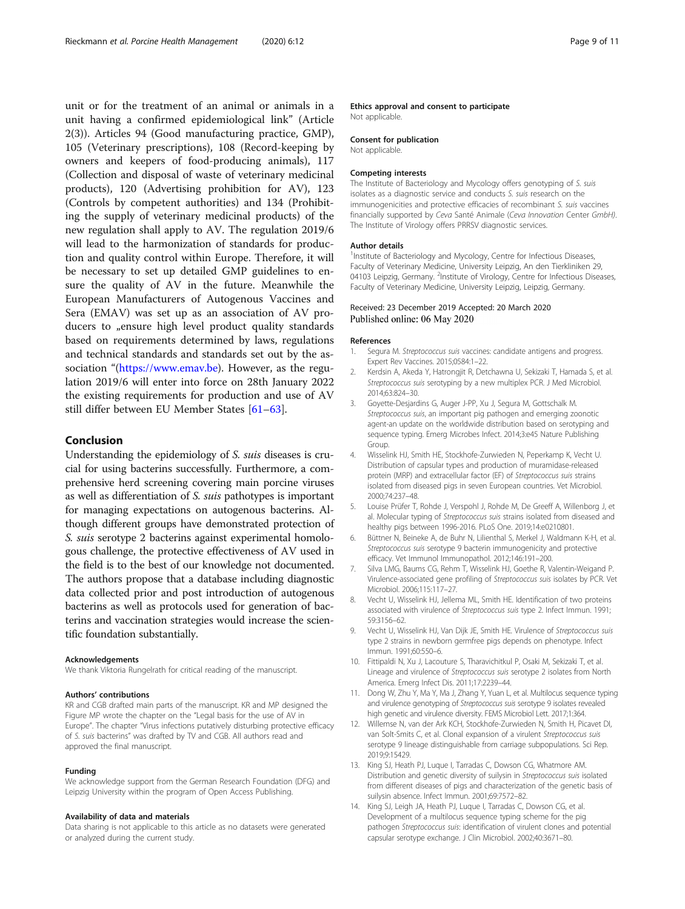<span id="page-8-0"></span>unit or for the treatment of an animal or animals in a unit having a confirmed epidemiological link" (Article 2(3)). Articles 94 (Good manufacturing practice, GMP), 105 (Veterinary prescriptions), 108 (Record-keeping by owners and keepers of food-producing animals), 117 (Collection and disposal of waste of veterinary medicinal products), 120 (Advertising prohibition for AV), 123 (Controls by competent authorities) and 134 (Prohibiting the supply of veterinary medicinal products) of the new regulation shall apply to AV. The regulation 2019/6 will lead to the harmonization of standards for production and quality control within Europe. Therefore, it will be necessary to set up detailed GMP guidelines to ensure the quality of AV in the future. Meanwhile the European Manufacturers of Autogenous Vaccines and Sera (EMAV) was set up as an association of AV producers to "ensure high level product quality standards based on requirements determined by laws, regulations and technical standards and standards set out by the association "(<https://www.emav.be>). However, as the regulation 2019/6 will enter into force on 28th January 2022 the existing requirements for production and use of AV still differ between EU Member States [[61](#page-10-0)–[63\]](#page-10-0).

### Conclusion

Understanding the epidemiology of S. suis diseases is crucial for using bacterins successfully. Furthermore, a comprehensive herd screening covering main porcine viruses as well as differentiation of S. suis pathotypes is important for managing expectations on autogenous bacterins. Although different groups have demonstrated protection of S. suis serotype 2 bacterins against experimental homologous challenge, the protective effectiveness of AV used in the field is to the best of our knowledge not documented. The authors propose that a database including diagnostic data collected prior and post introduction of autogenous bacterins as well as protocols used for generation of bacterins and vaccination strategies would increase the scientific foundation substantially.

#### Acknowledgements

We thank Viktoria Rungelrath for critical reading of the manuscript.

#### Authors' contributions

KR and CGB drafted main parts of the manuscript. KR and MP designed the Figure MP wrote the chapter on the "Legal basis for the use of AV in Europe". The chapter "Virus infections putatively disturbing protective efficacy of S. suis bacterins" was drafted by TV and CGB. All authors read and approved the final manuscript.

#### Funding

We acknowledge support from the German Research Foundation (DFG) and Leipzig University within the program of Open Access Publishing.

#### Availability of data and materials

Data sharing is not applicable to this article as no datasets were generated or analyzed during the current study.

#### Ethics approval and consent to participate

Not applicable.

#### Consent for publication

Not applicable.

#### Competing interests

The Institute of Bacteriology and Mycology offers genotyping of S. suis isolates as a diagnostic service and conducts S. suis research on the immunogenicities and protective efficacies of recombinant S. suis vaccines financially supported by Ceva Santé Animale (Ceva Innovation Center GmbH). The Institute of Virology offers PRRSV diagnostic services.

#### Author details

<sup>1</sup>Institute of Bacteriology and Mycology, Centre for Infectious Diseases Faculty of Veterinary Medicine, University Leipzig, An den Tierkliniken 29, 04103 Leipzig, Germany. <sup>2</sup>Institute of Virology, Centre for Infectious Diseases Faculty of Veterinary Medicine, University Leipzig, Leipzig, Germany.

#### Received: 23 December 2019 Accepted: 20 March 2020 Published online: 06 May 2020

#### References

- 1. Segura M. Streptococcus suis vaccines: candidate antigens and progress. Expert Rev Vaccines. 2015;0584:1–22.
- 2. Kerdsin A, Akeda Y, Hatrongjit R, Detchawna U, Sekizaki T, Hamada S, et al. Streptococcus suis serotyping by a new multiplex PCR. J Med Microbiol. 2014;63:824–30.
- 3. Goyette-Desjardins G, Auger J-PP, Xu J, Segura M, Gottschalk M. Streptococcus suis, an important pig pathogen and emerging zoonotic agent-an update on the worldwide distribution based on serotyping and sequence typing. Emerg Microbes Infect. 2014;3:e45 Nature Publishing Group.
- 4. Wisselink HJ, Smith HE, Stockhofe-Zurwieden N, Peperkamp K, Vecht U. Distribution of capsular types and production of muramidase-released protein (MRP) and extracellular factor (EF) of Streptococcus suis strains isolated from diseased pigs in seven European countries. Vet Microbiol. 2000;74:237–48.
- 5. Louise Prüfer T, Rohde J, Verspohl J, Rohde M, De Greeff A, Willenborg J, et al. Molecular typing of Streptococcus suis strains isolated from diseased and healthy pigs between 1996-2016. PLoS One. 2019;14:e0210801.
- 6. Büttner N, Beineke A, de Buhr N, Lilienthal S, Merkel J, Waldmann K-H, et al. Streptococcus suis serotype 9 bacterin immunogenicity and protective efficacy. Vet Immunol Immunopathol. 2012;146:191–200.
- 7. Silva LMG, Baums CG, Rehm T, Wisselink HJ, Goethe R, Valentin-Weigand P. Virulence-associated gene profiling of Streptococcus suis isolates by PCR. Vet Microbiol. 2006;115:117–27.
- 8. Vecht U, Wisselink HJ, Jellema ML, Smith HE. Identification of two proteins associated with virulence of Streptococcus suis type 2. Infect Immun. 1991; 59:3156–62.
- 9. Vecht U, Wisselink HJ, Van Dijk JE, Smith HE. Virulence of Streptococcus suis type 2 strains in newborn germfree pigs depends on phenotype. Infect Immun. 1991;60:550–6.
- 10. Fittipaldi N, Xu J, Lacouture S, Tharavichitkul P, Osaki M, Sekizaki T, et al. Lineage and virulence of Streptococcus suis serotype 2 isolates from North America. Emerg Infect Dis. 2011;17:2239–44.
- 11. Dong W, Zhu Y, Ma Y, Ma J, Zhang Y, Yuan L, et al. Multilocus sequence typing and virulence genotyping of Streptococcus suis serotype 9 isolates revealed high genetic and virulence diversity. FEMS Microbiol Lett. 2017;1:364.
- 12. Willemse N, van der Ark KCH, Stockhofe-Zurwieden N, Smith H, Picavet DI, van Solt-Smits C, et al. Clonal expansion of a virulent Streptococcus suis serotype 9 lineage distinguishable from carriage subpopulations. Sci Rep. 2019;9:15429.
- 13. King SJ, Heath PJ, Luque I, Tarradas C, Dowson CG, Whatmore AM. Distribution and genetic diversity of suilysin in Streptococcus suis isolated from different diseases of pigs and characterization of the genetic basis of suilysin absence. Infect Immun. 2001;69:7572–82.
- 14. King SJ, Leigh JA, Heath PJ, Luque I, Tarradas C, Dowson CG, et al. Development of a multilocus sequence typing scheme for the pig pathogen Streptococcus suis: identification of virulent clones and potential capsular serotype exchange. J Clin Microbiol. 2002;40:3671–80.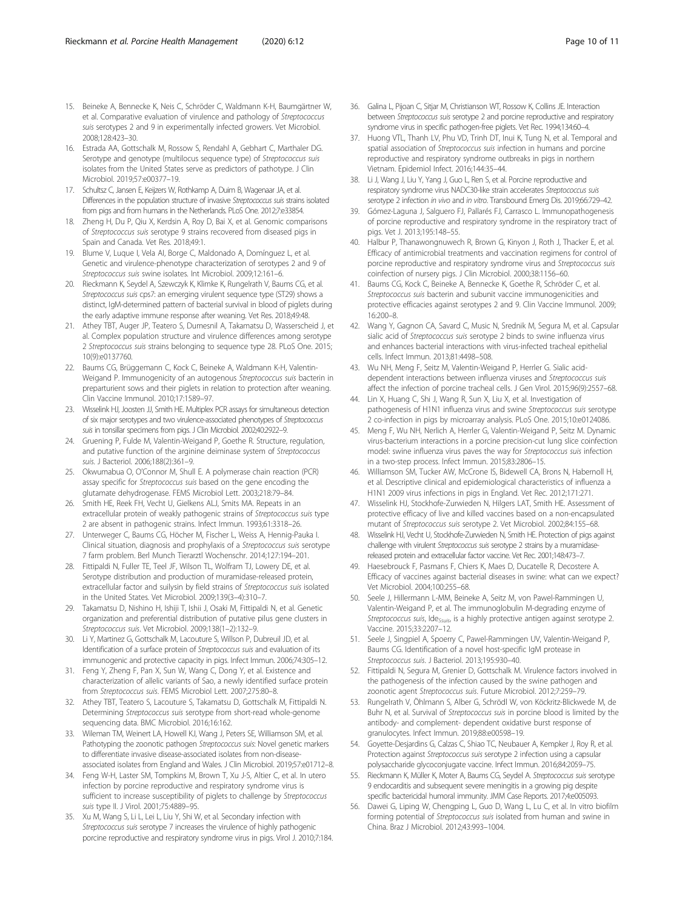- <span id="page-9-0"></span>15. Beineke A, Bennecke K, Neis C, Schröder C, Waldmann K-H, Baumgärtner W, et al. Comparative evaluation of virulence and pathology of Streptococcus suis serotypes 2 and 9 in experimentally infected growers. Vet Microbiol. 2008;128:423–30.
- 16. Estrada AA, Gottschalk M, Rossow S, Rendahl A, Gebhart C, Marthaler DG. Serotype and genotype (multilocus sequence type) of Streptococcus suis isolates from the United States serve as predictors of pathotype. J Clin Microbiol. 2019;57:e00377–19.
- 17. Schultsz C, Jansen E, Keijzers W, Rothkamp A, Duim B, Wagenaar JA, et al. Differences in the population structure of invasive Streptococcus suis strains isolated from pigs and from humans in the Netherlands. PLoS One. 2012;7:e33854.
- 18. Zheng H, Du P, Qiu X, Kerdsin A, Roy D, Bai X, et al. Genomic comparisons of Streptococcus suis serotype 9 strains recovered from diseased pigs in Spain and Canada. Vet Res. 2018;49:1.
- 19. Blume V, Luque I, Vela AI, Borge C, Maldonado A, Domínguez L, et al. Genetic and virulence-phenotype characterization of serotypes 2 and 9 of Streptococcus suis swine isolates. Int Microbiol. 2009;12:161–6.
- 20. Rieckmann K, Seydel A, Szewczyk K, Klimke K, Rungelrath V, Baums CG, et al. Streptococcus suis cps7: an emerging virulent sequence type (ST29) shows a distinct, IgM-determined pattern of bacterial survival in blood of piglets during the early adaptive immune response after weaning. Vet Res. 2018;49:48.
- 21. Athey TBT, Auger JP, Teatero S, Dumesnil A, Takamatsu D, Wasserscheid J, et al. Complex population structure and virulence differences among serotype 2 Streptococcus suis strains belonging to sequence type 28. PLoS One. 2015; 10(9):e0137760.
- 22. Baums CG, Brüggemann C, Kock C, Beineke A, Waldmann K-H, Valentin-Weigand P. Immunogenicity of an autogenous Streptococcus suis bacterin in preparturient sows and their piglets in relation to protection after weaning. Clin Vaccine Immunol. 2010;17:1589–97.
- 23. Wisselink HJ, Joosten JJ, Smith HE. Multiplex PCR assays for simultaneous detection of six major serotypes and two virulence-associated phenotypes of Streptococcus suis in tonsillar specimens from pigs. J Clin Microbiol. 2002;40:2922–9.
- 24. Gruening P, Fulde M, Valentin-Weigand P, Goethe R. Structure, regulation, and putative function of the arginine deiminase system of Streptococcus suis. J Bacteriol. 2006;188(2):361–9.
- 25. Okwumabua O, O'Connor M, Shull E. A polymerase chain reaction (PCR) assay specific for Streptococcus suis based on the gene encoding the glutamate dehydrogenase. FEMS Microbiol Lett. 2003;218:79–84.
- 26. Smith HE, Reek FH, Vecht U, Gielkens ALJ, Smits MA. Repeats in an extracellular protein of weakly pathogenic strains of Streptococcus suis type 2 are absent in pathogenic strains. Infect Immun. 1993;61:3318–26.
- 27. Unterweger C, Baums CG, Höcher M, Fischer L, Weiss A, Hennig-Pauka I. Clinical situation, diagnosis and prophylaxis of a Streptococcus suis serotype 7 farm problem. Berl Munch Tierarztl Wochenschr. 2014;127:194–201.
- 28. Fittipaldi N, Fuller TE, Teel JF, Wilson TL, Wolfram TJ, Lowery DE, et al. Serotype distribution and production of muramidase-released protein, extracellular factor and suilysin by field strains of Streptococcus suis isolated in the United States. Vet Microbiol. 2009;139(3–4):310–7.
- 29. Takamatsu D, Nishino H, Ishiji T, Ishii J, Osaki M, Fittipaldi N, et al. Genetic organization and preferential distribution of putative pilus gene clusters in Streptococcus suis. Vet Microbiol. 2009;138(1–2):132–9.
- 30. Li Y, Martinez G, Gottschalk M, Lacouture S, Willson P, Dubreuil JD, et al. Identification of a surface protein of Streptococcus suis and evaluation of its immunogenic and protective capacity in pigs. Infect Immun. 2006;74:305–12.
- 31. Feng Y, Zheng F, Pan X, Sun W, Wang C, Dong Y, et al. Existence and characterization of allelic variants of Sao, a newly identified surface protein from Streptococcus suis. FEMS Microbiol Lett. 2007;275:80–8.
- 32. Athey TBT, Teatero S, Lacouture S, Takamatsu D, Gottschalk M, Fittipaldi N. Determining Streptococcus suis serotype from short-read whole-genome sequencing data. BMC Microbiol. 2016;16:162.
- 33. Wileman TM, Weinert LA, Howell KJ, Wang J, Peters SE, Williamson SM, et al. Pathotyping the zoonotic pathogen Streptococcus suis: Novel genetic markers to differentiate invasive disease-associated isolates from non-diseaseassociated isolates from England and Wales. J Clin Microbiol. 2019;57:e01712–8.
- 34. Feng W-H, Laster SM, Tompkins M, Brown T, Xu J-S, Altier C, et al. In utero infection by porcine reproductive and respiratory syndrome virus is sufficient to increase susceptibility of piglets to challenge by Streptococcus suis type II. J Virol. 2001;75:4889–95.
- 35. Xu M, Wang S, Li L, Lei L, Liu Y, Shi W, et al. Secondary infection with Streptococcus suis serotype 7 increases the virulence of highly pathogenic porcine reproductive and respiratory syndrome virus in pigs. Virol J. 2010;7:184.
- 36. Galina L, Pijoan C, Sitjar M, Christianson WT, Rossow K, Collins JE. Interaction between Streptococcus suis serotype 2 and porcine reproductive and respiratory syndrome virus in specific pathogen-free piglets. Vet Rec. 1994;134:60–4.
- 37. Huong VTL, Thanh LV, Phu VD, Trinh DT, Inui K, Tung N, et al. Temporal and spatial association of Streptococcus suis infection in humans and porcine reproductive and respiratory syndrome outbreaks in pigs in northern Vietnam. Epidemiol Infect. 2016;144:35–44.
- 38. Li J, Wang J, Liu Y, Yang J, Guo L, Ren S, et al. Porcine reproductive and respiratory syndrome virus NADC30-like strain accelerates Streptococcus suis serotype 2 infection in vivo and in vitro. Transbound Emerg Dis. 2019;66:729–42.
- 39. Gómez-Laguna J, Salguero FJ, Pallarés FJ, Carrasco L. Immunopathogenesis of porcine reproductive and respiratory syndrome in the respiratory tract of pigs. Vet J. 2013;195:148–55.
- 40. Halbur P, Thanawongnuwech R, Brown G, Kinyon J, Roth J, Thacker E, et al. Efficacy of antimicrobial treatments and vaccination regimens for control of porcine reproductive and respiratory syndrome virus and Streptococcus suis coinfection of nursery pigs. J Clin Microbiol. 2000;38:1156–60.
- 41. Baums CG, Kock C, Beineke A, Bennecke K, Goethe R, Schröder C, et al. Streptococcus suis bacterin and subunit vaccine immunogenicities and protective efficacies against serotypes 2 and 9. Clin Vaccine Immunol. 2009; 16:200–8.
- 42. Wang Y, Gagnon CA, Savard C, Music N, Srednik M, Segura M, et al. Capsular sialic acid of Streptococcus suis serotype 2 binds to swine influenza virus and enhances bacterial interactions with virus-infected tracheal epithelial cells. Infect Immun. 2013;81:4498–508.
- 43. Wu NH, Meng F, Seitz M, Valentin-Weigand P, Herrler G. Sialic aciddependent interactions between influenza viruses and Streptococcus suis affect the infection of porcine tracheal cells. J Gen Virol. 2015;96(9):2557–68.
- 44. Lin X, Huang C, Shi J, Wang R, Sun X, Liu X, et al. Investigation of pathogenesis of H1N1 influenza virus and swine Streptococcus suis serotype 2 co-infection in pigs by microarray analysis. PLoS One. 2015;10:e0124086.
- 45. Meng F, Wu NH, Nerlich A, Herrler G, Valentin-Weigand P, Seitz M. Dynamic virus-bacterium interactions in a porcine precision-cut lung slice coinfection model: swine influenza virus paves the way for Streptococcus suis infection in a two-step process. Infect Immun. 2015;83:2806–15.
- 46. Williamson SM, Tucker AW, McCrone IS, Bidewell CA, Brons N, Habernoll H, et al. Descriptive clinical and epidemiological characteristics of influenza a H1N1 2009 virus infections in pigs in England. Vet Rec. 2012;171:271.
- 47. Wisselink HJ, Stockhofe-Zurwieden N, Hilgers LAT, Smith HE. Assessment of protective efficacy of live and killed vaccines based on a non-encapsulated mutant of Streptococcus suis serotype 2. Vet Microbiol. 2002;84:155–68.
- 48. Wisselink HJ, Vecht U, Stockhofe-Zurwieden N, Smith HE. Protection of pigs against challenge with virulent Streptococcus suis serotype 2 strains by a muramidasereleased protein and extracellular factor vaccine. Vet Rec. 2001;148:473–7.
- 49. Haesebrouck F, Pasmans F, Chiers K, Maes D, Ducatelle R, Decostere A. Efficacy of vaccines against bacterial diseases in swine: what can we expect? Vet Microbiol. 2004;100:255–68.
- 50. Seele J, Hillermann L-MM, Beineke A, Seitz M, von Pawel-Rammingen U, Valentin-Weigand P, et al. The immunoglobulin M-degrading enzyme of Streptococcus suis, Ide<sub>Ssuis</sub>, is a highly protective antigen against serotype 2. Vaccine. 2015;33:2207–12.
- 51. Seele J, Singpiel A, Spoerry C, Pawel-Rammingen UV, Valentin-Weigand P, Baums CG. Identification of a novel host-specific IgM protease in Streptococcus suis. J Bacteriol. 2013;195:930–40.
- 52. Fittipaldi N, Segura M, Grenier D, Gottschalk M. Virulence factors involved in the pathogenesis of the infection caused by the swine pathogen and zoonotic agent Streptococcus suis. Future Microbiol. 2012;7:259–79.
- 53. Rungelrath V, Öhlmann S, Alber G, Schrödl W, von Köckritz-Blickwede M, de Buhr N, et al. Survival of Streptococcus suis in porcine blood is limited by the antibody- and complement- dependent oxidative burst response of granulocytes. Infect Immun. 2019;88:e00598–19.
- 54. Goyette-Desjardins G, Calzas C, Shiao TC, Neubauer A, Kempker J, Roy R, et al. Protection against Streptococcus suis serotype 2 infection using a capsular polysaccharide glycoconjugate vaccine. Infect Immun. 2016;84:2059–75.
- Rieckmann K, Müller K, Moter A, Baums CG, Seydel A. Streptococcus suis serotype 9 endocarditis and subsequent severe meningitis in a growing pig despite specific bactericidal humoral immunity. JMM Case Reports. 2017;4:e005093.
- 56. Dawei G, Liping W, Chengping L, Guo D, Wang L, Lu C, et al. In vitro biofilm forming potential of Streptococcus suis isolated from human and swine in China. Braz J Microbiol. 2012;43:993–1004.